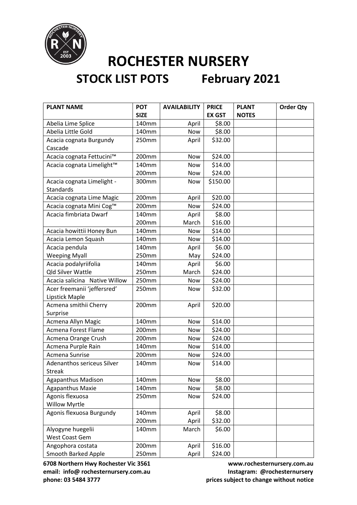

# **STOCK LIST POTS February 2021**

| <b>PLANT NAME</b>             | <b>POT</b>  | <b>AVAILABILITY</b> | <b>PRICE</b>  | <b>PLANT</b> | <b>Order Qty</b> |
|-------------------------------|-------------|---------------------|---------------|--------------|------------------|
|                               | <b>SIZE</b> |                     | <b>EX GST</b> | <b>NOTES</b> |                  |
| Abelia Lime Splice            | 140mm       | April               | \$8.00        |              |                  |
| Abelia Little Gold            | 140mm       | <b>Now</b>          | \$8.00        |              |                  |
| Acacia cognata Burgundy       | 250mm       | April               | \$32.00       |              |                  |
| Cascade                       |             |                     |               |              |                  |
| Acacia cognata Fettucini™     | 200mm       | Now                 | \$24.00       |              |                  |
| Acacia cognata Limelight™     | 140mm       | <b>Now</b>          | \$14.00       |              |                  |
|                               | 200mm       | Now                 | \$24.00       |              |                  |
| Acacia cognata Limelight -    | 300mm       | Now                 | \$150.00      |              |                  |
| <b>Standards</b>              |             |                     |               |              |                  |
| Acacia cognata Lime Magic     | 200mm       | April               | \$20.00       |              |                  |
| Acacia cognata Mini Cog™      | 200mm       | Now                 | \$24.00       |              |                  |
| Acacia fimbriata Dwarf        | 140mm       | April               | \$8.00        |              |                  |
|                               | 200mm       | March               | \$16.00       |              |                  |
| Acacia howittii Honey Bun     | 140mm       | Now                 | \$14.00       |              |                  |
| Acacia Lemon Squash           | 140mm       | Now                 | \$14.00       |              |                  |
| Acacia pendula                | 140mm       | April               | \$6.00        |              |                  |
| <b>Weeping Myall</b>          | 250mm       | May                 | \$24.00       |              |                  |
| Acacia podalyriifolia         | 140mm       | April               | \$6.00        |              |                  |
| <b>Qld Silver Wattle</b>      | 250mm       | March               | \$24.00       |              |                  |
| Acacia salicina Native Willow | 250mm       | Now                 | \$24.00       |              |                  |
| Acer freemanii 'jeffersred'   | 250mm       | Now                 | \$32.00       |              |                  |
| Lipstick Maple                |             |                     |               |              |                  |
| Acmena smithii Cherry         | 200mm       | April               | \$20.00       |              |                  |
| Surprise                      |             |                     |               |              |                  |
| Acmena Allyn Magic            | 140mm       | Now                 | \$14.00       |              |                  |
| Acmena Forest Flame           | 200mm       | Now                 | \$24.00       |              |                  |
| Acmena Orange Crush           | 200mm       | Now                 | \$24.00       |              |                  |
| Acmena Purple Rain            | 140mm       | Now                 | \$14.00       |              |                  |
| Acmena Sunrise                | 200mm       | Now                 | \$24.00       |              |                  |
| Adenanthos sericeus Silver    | 140mm       | Now                 | \$14.00       |              |                  |
| <b>Streak</b>                 |             |                     |               |              |                  |
| <b>Agapanthus Madison</b>     | 140mm       | Now                 | \$8.00        |              |                  |
| <b>Agapanthus Maxie</b>       | 140mm       | Now                 | \$8.00        |              |                  |
| Agonis flexuosa               | 250mm       | Now                 | \$24.00       |              |                  |
| <b>Willow Myrtle</b>          |             |                     |               |              |                  |
| Agonis flexuosa Burgundy      | 140mm       | April               | \$8.00        |              |                  |
|                               | 200mm       | April               | \$32.00       |              |                  |
| Alyogyne huegelii             | 140mm       | March               | \$6.00        |              |                  |
| West Coast Gem                |             |                     |               |              |                  |
| Angophora costata             | 200mm       | April               | \$16.00       |              |                  |
| <b>Smooth Barked Apple</b>    | 250mm       | April               | \$24.00       |              |                  |

**6708 Northern Hwy Rochester Vic 3561 www.rochesternursery.com.au** email: info@ rochesternursery.com.au **Instagram: @rochesternursery** 

**phone: 03 5484 3777 prices subject to change without notice**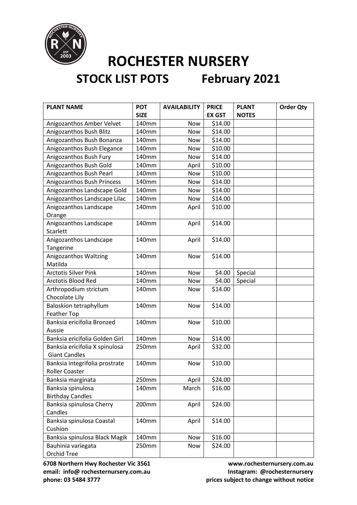

| <b>PLANT NAME</b>              | <b>POT</b>  | <b>AVAILABILITY</b> | <b>PRICE</b>  | <b>PLANT</b> | <b>Order Qty</b> |
|--------------------------------|-------------|---------------------|---------------|--------------|------------------|
|                                | <b>SIZE</b> |                     | <b>EX GST</b> | <b>NOTES</b> |                  |
| Anigozanthos Amber Velvet      | 140mm       | Now                 | \$14.00       |              |                  |
| Anigozanthos Bush Blitz        | 140mm       | Now                 | \$14.00       |              |                  |
| Anigozanthos Bush Bonanza      | 140mm       | <b>Now</b>          | \$14.00       |              |                  |
| Anigozanthos Bush Elegance     | 140mm       | Now                 | \$10.00       |              |                  |
| Anigozanthos Bush Fury         | 140mm       | Now                 | \$14.00       |              |                  |
| Anigozanthos Bush Gold         | 140mm       | April               | \$10.00       |              |                  |
| Anigozanthos Bush Pearl        | 140mm       | Now                 | \$10.00       |              |                  |
| Anigozanthos Bush Princess     | 140mm       | Now                 | \$14.00       |              |                  |
| Anigozanthos Landscape Gold    | 140mm       | Now                 | \$14.00       |              |                  |
| Anigozanthos Landscape Lilac   | 140mm       | Now                 | \$14.00       |              |                  |
| Anigozanthos Landscape         | 140mm       | April               | \$10.00       |              |                  |
| Orange                         |             |                     |               |              |                  |
| Anigozanthos Landscape         | 140mm       | April               | \$14.00       |              |                  |
| Scarlett                       |             |                     |               |              |                  |
| Anigozanthos Landscape         | 140mm       | April               | \$14.00       |              |                  |
| Tangerine                      |             |                     |               |              |                  |
| Anigozanthos Waltzing          | 140mm       | Now                 | \$14.00       |              |                  |
| Matilda                        |             |                     |               |              |                  |
| <b>Arctotis Silver Pink</b>    | 140mm       | Now                 | \$4.00        | Special      |                  |
| Arctotis Blood Red             | 140mm       | Now                 | \$4.00        | Special      |                  |
| Arthropodium strictum          | 140mm       | Now                 | \$14.00       |              |                  |
| Chocolate Lily                 |             |                     |               |              |                  |
| <b>Baloskion tetraphyllum</b>  | 140mm       | <b>Now</b>          | \$14.00       |              |                  |
| <b>Feather Top</b>             |             |                     |               |              |                  |
| Banksia ericifolia Bronzed     | 140mm       | Now                 | \$10.00       |              |                  |
| Aussie                         |             |                     |               |              |                  |
| Banksia ericifolia Golden Girl | 140mm       | Now                 | \$14.00       |              |                  |
| Banksia ericifolia X spinulosa | 250mm       | April               | \$32.00       |              |                  |
| <b>Giant Candles</b>           |             |                     |               |              |                  |
| Banksia integrifolia prostrate | 140mm       | Now                 | \$10.00       |              |                  |
| Roller Coaster                 |             |                     |               |              |                  |
| Banksia marginata              | 250mm       | April               | \$24.00       |              |                  |
| Banksia spinulosa              | 140mm       | March               | \$16.00       |              |                  |
| <b>Birthday Candles</b>        |             |                     |               |              |                  |
| Banksia spinulosa Cherry       | 200mm       | April               | \$24.00       |              |                  |
| Candles                        |             |                     |               |              |                  |
| Banksia spinulosa Coastal      | 140mm       | April               | \$14.00       |              |                  |
| Cushion                        |             |                     |               |              |                  |
| Banksia spinulosa Black Magik  | 140mm       | Now                 | \$16.00       |              |                  |
| Bauhinia variegata             | 250mm       | Now                 | \$24.00       |              |                  |
| Orchid Tree                    |             |                     |               |              |                  |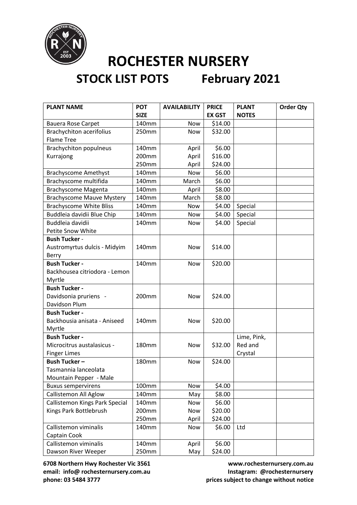

# **STOCK LIST POTS February 2021**

| <b>PLANT NAME</b>                | <b>POT</b>   | <b>AVAILABILITY</b> | <b>PRICE</b>  | <b>PLANT</b> | <b>Order Qty</b> |
|----------------------------------|--------------|---------------------|---------------|--------------|------------------|
|                                  | <b>SIZE</b>  |                     | <b>EX GST</b> | <b>NOTES</b> |                  |
| <b>Bauera Rose Carpet</b>        | 140mm        | Now                 | \$14.00       |              |                  |
| <b>Brachychiton acerifolius</b>  | 250mm        | <b>Now</b>          | \$32.00       |              |                  |
| <b>Flame Tree</b>                |              |                     |               |              |                  |
| <b>Brachychiton populneus</b>    | 140mm        | April               | \$6.00        |              |                  |
| Kurrajong                        | 200mm        | April               | \$16.00       |              |                  |
|                                  | 250mm        | April               | \$24.00       |              |                  |
| <b>Brachyscome Amethyst</b>      | 140mm        | <b>Now</b>          | \$6.00        |              |                  |
| Brachyscome multifida            | 140mm        | March               | \$6.00        |              |                  |
| <b>Brachyscome Magenta</b>       | 140mm        | April               | \$8.00        |              |                  |
| <b>Brachyscome Mauve Mystery</b> | 140mm        | March               | \$8.00        |              |                  |
| <b>Brachyscome White Bliss</b>   | 140mm        | <b>Now</b>          | \$4.00        | Special      |                  |
| Buddleia davidii Blue Chip       | 140mm        | Now                 | \$4.00        | Special      |                  |
| Buddleia davidii                 | 140mm        | <b>Now</b>          | \$4.00        | Special      |                  |
| <b>Petite Snow White</b>         |              |                     |               |              |                  |
| <b>Bush Tucker -</b>             |              |                     |               |              |                  |
| Austromyrtus dulcis - Midyim     | 140mm        | Now                 | \$14.00       |              |                  |
| Berry                            |              |                     |               |              |                  |
| <b>Bush Tucker -</b>             | 140mm        | <b>Now</b>          | \$20.00       |              |                  |
| Backhousea citriodora - Lemon    |              |                     |               |              |                  |
| Myrtle                           |              |                     |               |              |                  |
| <b>Bush Tucker -</b>             |              |                     |               |              |                  |
| Davidsonia pruriens -            | 200mm        | <b>Now</b>          | \$24.00       |              |                  |
| Davidson Plum                    |              |                     |               |              |                  |
| <b>Bush Tucker -</b>             |              |                     |               |              |                  |
| Backhousia anisata - Aniseed     | 140mm        | <b>Now</b>          | \$20.00       |              |                  |
| Myrtle                           |              |                     |               |              |                  |
| <b>Bush Tucker -</b>             |              |                     |               | Lime, Pink,  |                  |
| Microcitrus austalasicus -       | 180mm        | <b>Now</b>          | \$32.00       | Red and      |                  |
| <b>Finger Limes</b>              |              |                     |               | Crystal      |                  |
| <b>Bush Tucker-</b>              | <b>180mm</b> | Now                 | \$24.00       |              |                  |
| Tasmannia lanceolata             |              |                     |               |              |                  |
| Mountain Pepper - Male           |              |                     |               |              |                  |
| <b>Buxus sempervirens</b>        | 100mm        | Now                 | \$4.00        |              |                  |
| Callistemon All Aglow            | 140mm        | May                 | \$8.00        |              |                  |
| Callistemon Kings Park Special   | 140mm        | Now                 | \$6.00        |              |                  |
| Kings Park Bottlebrush           | 200mm        | Now                 | \$20.00       |              |                  |
|                                  | 250mm        | April               | \$24.00       |              |                  |
| Callistemon viminalis            | 140mm        | Now                 | \$6.00        | Ltd          |                  |
| Captain Cook                     |              |                     |               |              |                  |
| Callistemon viminalis            | 140mm        | April               | \$6.00        |              |                  |
| Dawson River Weeper              | 250mm        | May                 | \$24.00       |              |                  |

**6708 Northern Hwy Rochester Vic 3561 www.rochesternursery.com.au** email: info@ rochesternursery.com.au **Instagram: @rochesternursery phone: 03 5484 3777 prices subject to change without notice**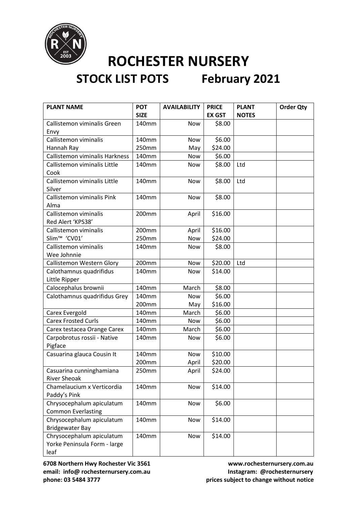

| <b>PLANT NAME</b>                                                 | <b>POT</b><br><b>SIZE</b> | <b>AVAILABILITY</b> | <b>PRICE</b><br><b>EX GST</b> | <b>PLANT</b><br><b>NOTES</b> | <b>Order Qty</b> |
|-------------------------------------------------------------------|---------------------------|---------------------|-------------------------------|------------------------------|------------------|
| Callistemon viminalis Green                                       | 140mm                     | <b>Now</b>          | \$8.00                        |                              |                  |
| Envy                                                              |                           |                     |                               |                              |                  |
| Callistemon viminalis                                             | 140mm                     | <b>Now</b>          | \$6.00                        |                              |                  |
| Hannah Ray                                                        | 250mm                     | May                 | \$24.00                       |                              |                  |
| Callistemon viminalis Harkness                                    | 140mm                     | Now                 | \$6.00                        |                              |                  |
| Callistemon viminalis Little<br>Cook                              | 140mm                     | Now                 | \$8.00                        | Ltd                          |                  |
| Callistemon viminalis Little<br>Silver                            | 140mm                     | Now                 | \$8.00                        | Ltd                          |                  |
| Callistemon viminalis Pink<br>Alma                                | 140mm                     | Now                 | \$8.00                        |                              |                  |
| Callistemon viminalis<br>Red Alert 'KPS38'                        | 200mm                     | April               | \$16.00                       |                              |                  |
| Callistemon viminalis                                             | 200mm                     | April               | \$16.00                       |                              |                  |
| Slim <sup>™</sup> 'CV01'                                          | 250mm                     | Now                 | \$24.00                       |                              |                  |
| Callistemon viminalis                                             | 140mm                     | Now                 | \$8.00                        |                              |                  |
| Wee Johnnie                                                       |                           |                     |                               |                              |                  |
| Callistemon Western Glory                                         | 200mm                     | Now                 | \$20.00                       | Ltd                          |                  |
| Calothamnus quadrifidus                                           | 140mm                     | Now                 | \$14.00                       |                              |                  |
| Little Ripper                                                     |                           |                     |                               |                              |                  |
| Calocephalus brownii                                              | 140mm                     | March               | \$8.00                        |                              |                  |
| Calothamnus quadrifidus Grey                                      | 140mm                     | Now                 | \$6.00                        |                              |                  |
|                                                                   | 200mm                     | May                 | \$16.00                       |                              |                  |
| Carex Evergold                                                    | 140mm                     | March               | \$6.00                        |                              |                  |
| <b>Carex Frosted Curls</b>                                        | 140mm                     | Now                 | \$6.00                        |                              |                  |
| Carex testacea Orange Carex                                       | 140mm                     | March               | \$6.00                        |                              |                  |
| Carpobrotus rossii - Native<br>Pigface                            | 140mm                     | Now                 | \$6.00                        |                              |                  |
| Casuarina glauca Cousin It                                        | 140mm                     | <b>Now</b>          | \$10.00                       |                              |                  |
|                                                                   | 200mm                     | April               | \$20.00                       |                              |                  |
| Casuarina cunninghamiana<br><b>River Sheoak</b>                   | 250mm                     | April               | \$24.00                       |                              |                  |
| Chamelaucium x Verticordia<br>Paddy's Pink                        | 140mm                     | Now                 | \$14.00                       |                              |                  |
| Chrysocephalum apiculatum<br><b>Common Everlasting</b>            | 140mm                     | Now                 | \$6.00                        |                              |                  |
| Chrysocephalum apiculatum<br><b>Bridgewater Bay</b>               | 140mm                     | Now                 | \$14.00                       |                              |                  |
| Chrysocephalum apiculatum<br>Yorke Peninsula Form - large<br>leaf | 140mm                     | Now                 | \$14.00                       |                              |                  |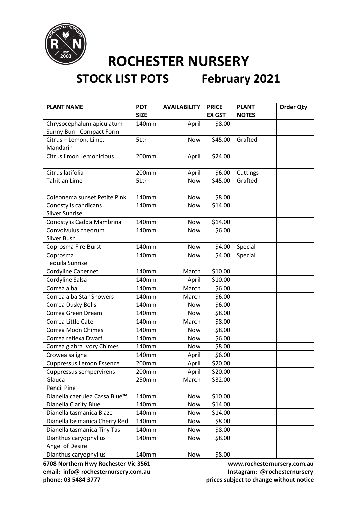

## **STOCK LIST POTS February 2021**

| <b>PLANT NAME</b>                        | <b>POT</b>  | <b>AVAILABILITY</b> | <b>PRICE</b>  | <b>PLANT</b> | <b>Order Qty</b> |
|------------------------------------------|-------------|---------------------|---------------|--------------|------------------|
|                                          | <b>SIZE</b> |                     | <b>EX GST</b> | <b>NOTES</b> |                  |
| Chrysocephalum apiculatum                | 140mm       | April               | \$8.00        |              |                  |
| Sunny Bun - Compact Form                 |             |                     |               |              |                  |
| Citrus - Lemon, Lime,                    | 5Ltr        | Now                 | \$45.00       | Grafted      |                  |
| Mandarin                                 |             |                     |               |              |                  |
| <b>Citrus limon Lemonicious</b>          | 200mm       | April               | \$24.00       |              |                  |
| Citrus latifolia                         | 200mm       | April               | \$6.00        | Cuttings     |                  |
| <b>Tahitian Lime</b>                     | 5Ltr        | Now                 | \$45.00       | Grafted      |                  |
|                                          |             |                     |               |              |                  |
| Coleonema sunset Petite Pink             | 140mm       | Now                 | \$8.00        |              |                  |
| Conostylis candicans                     | 140mm       | Now                 | \$14.00       |              |                  |
| <b>Silver Sunrise</b>                    |             |                     |               |              |                  |
| Conostylis Cadda Mambrina                | 140mm       | Now                 | \$14.00       |              |                  |
| Convolvulus cneorum                      | 140mm       | Now                 | \$6.00        |              |                  |
| Silver Bush                              |             |                     |               |              |                  |
| Coprosma Fire Burst                      | 140mm       | Now                 | \$4.00        | Special      |                  |
| Coprosma                                 | 140mm       | Now                 | \$4.00        | Special      |                  |
| Tequila Sunrise                          |             |                     |               |              |                  |
| Cordyline Cabernet                       | 140mm       | March               | \$10.00       |              |                  |
| Cordyline Salsa                          | 140mm       | April               | \$10.00       |              |                  |
| Correa alba                              | 140mm       | March               | \$6.00        |              |                  |
| Correa alba Star Showers                 | 140mm       | March               | \$6.00        |              |                  |
| Correa Dusky Bells                       | 140mm       | <b>Now</b>          | \$6.00        |              |                  |
| Correa Green Dream                       | 140mm       | Now                 | \$8.00        |              |                  |
| Correa Little Cate                       | 140mm       | March               | \$8.00        |              |                  |
| <b>Correa Moon Chimes</b>                | 140mm       | <b>Now</b>          | \$8.00        |              |                  |
| Correa reflexa Dwarf                     | 140mm       | Now                 | \$6.00        |              |                  |
| Correa glabra Ivory Chimes               | 140mm       | Now                 | \$8.00        |              |                  |
| Crowea saligna                           | 140mm       | April               | \$6.00        |              |                  |
| <b>Cuppressus Lemon Essence</b>          | 200mm       | April               | \$20.00       |              |                  |
| Cuppressus sempervirens                  | 200mm       | April               | \$20.00       |              |                  |
| Glauca                                   | 250mm       | March               | \$32.00       |              |                  |
| <b>Pencil Pine</b>                       |             |                     |               |              |                  |
| Dianella caerulea Cassa Blue™            | 140mm       | Now                 | \$10.00       |              |                  |
| Dianella Clarity Blue                    | 140mm       | Now                 | \$14.00       |              |                  |
| Dianella tasmanica Blaze                 | 140mm       | Now                 | \$14.00       |              |                  |
| Dianella tasmanica Cherry Red            | 140mm       | Now                 | \$8.00        |              |                  |
| Dianella tasmanica Tiny Tas              | 140mm       | Now                 | \$8.00        |              |                  |
| Dianthus caryophyllus<br>Angel of Desire | 140mm       | Now                 | \$8.00        |              |                  |
| Dianthus caryophyllus                    | 140mm       | Now                 | \$8.00        |              |                  |

**6708 Northern Hwy Rochester Vic 3561 www.rochesternursery.com.au** email: info@ rochesternursery.com.au **Instagram: @rochesternursery** 

**phone: 03 5484 3777 prices subject to change without notice**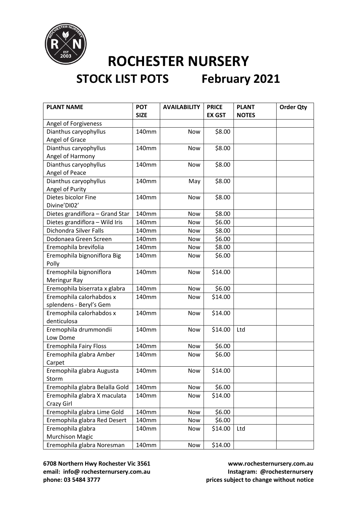

| <b>PLANT NAME</b>               | <b>POT</b>  | <b>AVAILABILITY</b> | <b>PRICE</b>  | <b>PLANT</b> | <b>Order Qty</b> |
|---------------------------------|-------------|---------------------|---------------|--------------|------------------|
|                                 | <b>SIZE</b> |                     | <b>EX GST</b> | <b>NOTES</b> |                  |
| Angel of Forgiveness            |             |                     |               |              |                  |
| Dianthus caryophyllus           | 140mm       | Now                 | \$8.00        |              |                  |
| Angel of Grace                  |             |                     |               |              |                  |
| Dianthus caryophyllus           | 140mm       | <b>Now</b>          | \$8.00        |              |                  |
| Angel of Harmony                |             |                     |               |              |                  |
| Dianthus caryophyllus           | 140mm       | Now                 | \$8.00        |              |                  |
| Angel of Peace                  |             |                     |               |              |                  |
| Dianthus caryophyllus           | 140mm       | May                 | \$8.00        |              |                  |
| Angel of Purity                 |             |                     |               |              |                  |
| Dietes bicolor Fine             | 140mm       | Now                 | \$8.00        |              |                  |
| Divine'DI02'                    |             |                     |               |              |                  |
| Dietes grandiflora - Grand Star | 140mm       | Now                 | \$8.00        |              |                  |
| Dietes grandiflora - Wild Iris  | 140mm       | Now                 | \$6.00        |              |                  |
| <b>Dichondra Silver Falls</b>   | 140mm       | Now                 | \$8.00        |              |                  |
| Dodonaea Green Screen           | 140mm       | Now                 | \$6.00        |              |                  |
| Eremophila brevifolia           | 140mm       | Now                 | \$8.00        |              |                  |
| Eremophila bignoniflora Big     | 140mm       | Now                 | \$6.00        |              |                  |
| Polly                           |             |                     |               |              |                  |
| Eremophila bignoniflora         | 140mm       | Now                 | \$14.00       |              |                  |
| Meringur Ray                    |             |                     |               |              |                  |
| Eremophila biserrata x glabra   | 140mm       | Now                 | \$6.00        |              |                  |
| Eremophila calorhabdos x        | 140mm       | Now                 | \$14.00       |              |                  |
| splendens - Beryl's Gem         |             |                     |               |              |                  |
| Eremophila calorhabdos x        | 140mm       | Now                 | \$14.00       |              |                  |
| denticulosa                     |             |                     |               |              |                  |
| Eremophila drummondii           | 140mm       | Now                 | \$14.00       | Ltd          |                  |
| Low Dome                        |             |                     |               |              |                  |
| <b>Eremophila Fairy Floss</b>   | 140mm       | Now                 | \$6.00        |              |                  |
| Eremophila glabra Amber         | 140mm       | Now                 | \$6.00        |              |                  |
| Carpet                          |             |                     |               |              |                  |
| Eremophila glabra Augusta       | 140mm       | Now                 | \$14.00       |              |                  |
| Storm                           |             |                     |               |              |                  |
| Eremophila glabra Belalla Gold  | 140mm       | Now                 | \$6.00        |              |                  |
| Eremophila glabra X maculata    | 140mm       | Now                 | \$14.00       |              |                  |
| Crazy Girl                      |             |                     |               |              |                  |
| Eremophila glabra Lime Gold     | 140mm       | Now                 | \$6.00        |              |                  |
| Eremophila glabra Red Desert    | 140mm       | Now                 | \$6.00        |              |                  |
| Eremophila glabra               | 140mm       | Now                 | \$14.00       | Ltd          |                  |
| <b>Murchison Magic</b>          |             |                     |               |              |                  |
| Eremophila glabra Noresman      | 140mm       | Now                 | \$14.00       |              |                  |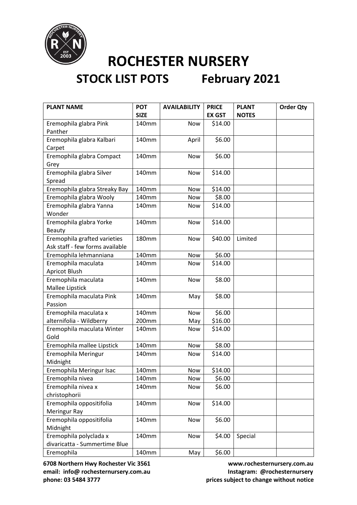

| <b>PLANT NAME</b>               | <b>POT</b>   | <b>AVAILABILITY</b> | <b>PRICE</b>  | <b>PLANT</b> | <b>Order Qty</b> |
|---------------------------------|--------------|---------------------|---------------|--------------|------------------|
|                                 | <b>SIZE</b>  |                     | <b>EX GST</b> | <b>NOTES</b> |                  |
| Eremophila glabra Pink          | 140mm        | Now                 | \$14.00       |              |                  |
| Panther                         |              |                     |               |              |                  |
| Eremophila glabra Kalbari       | 140mm        | April               | \$6.00        |              |                  |
| Carpet                          |              |                     |               |              |                  |
| Eremophila glabra Compact       | 140mm        | Now                 | \$6.00        |              |                  |
| Grey                            |              |                     |               |              |                  |
| Eremophila glabra Silver        | 140mm        | Now                 | \$14.00       |              |                  |
| Spread                          |              |                     |               |              |                  |
| Eremophila glabra Streaky Bay   | 140mm        | Now                 | \$14.00       |              |                  |
| Eremophila glabra Wooly         | 140mm        | Now                 | \$8.00        |              |                  |
| Eremophila glabra Yanna         | 140mm        | Now                 | \$14.00       |              |                  |
| Wonder                          |              |                     |               |              |                  |
| Eremophila glabra Yorke         | 140mm        | Now                 | \$14.00       |              |                  |
| <b>Beauty</b>                   |              |                     |               |              |                  |
| Eremophila grafted varieties    | <b>180mm</b> | Now                 | \$40.00       | Limited      |                  |
| Ask staff - few forms available |              |                     |               |              |                  |
| Eremophila lehmanniana          | 140mm        | Now                 | \$6.00        |              |                  |
| Eremophila maculata             | 140mm        | Now                 | \$14.00       |              |                  |
| <b>Apricot Blush</b>            |              |                     |               |              |                  |
| Eremophila maculata             | 140mm        | Now                 | \$8.00        |              |                  |
| Mallee Lipstick                 |              |                     |               |              |                  |
| Eremophila maculata Pink        | 140mm        | May                 | \$8.00        |              |                  |
| Passion                         |              |                     |               |              |                  |
| Eremophila maculata x           | 140mm        | Now                 | \$6.00        |              |                  |
| alternifolia - Wildberry        | 200mm        | May                 | \$16.00       |              |                  |
| Eremophila maculata Winter      | 140mm        | Now                 | \$14.00       |              |                  |
| Gold                            |              |                     |               |              |                  |
| Eremophila mallee Lipstick      | 140mm        | Now                 | \$8.00        |              |                  |
| Eremophila Meringur             | 140mm        | Now                 | \$14.00       |              |                  |
| Midnight                        |              |                     |               |              |                  |
| Eremophila Meringur Isac        | 140mm        | Now                 | \$14.00       |              |                  |
| Eremophila nivea                | 140mm        | Now                 | \$6.00        |              |                  |
| Eremophila nivea x              | 140mm        | Now                 | \$6.00        |              |                  |
| christophorii                   |              |                     |               |              |                  |
| Eremophila oppositifolia        | 140mm        | Now                 | \$14.00       |              |                  |
| Meringur Ray                    |              |                     |               |              |                  |
| Eremophila oppositifolia        | 140mm        | Now                 | \$6.00        |              |                  |
| Midnight                        |              |                     |               |              |                  |
| Eremophila polyclada x          | 140mm        | Now                 | \$4.00        | Special      |                  |
| divaricatta - Summertime Blue   |              |                     |               |              |                  |
| Eremophila                      | 140mm        | May                 | \$6.00        |              |                  |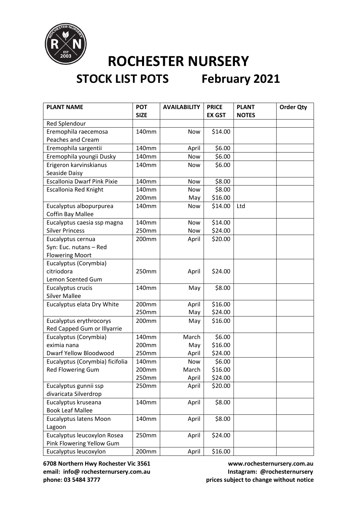

| <b>PLANT NAME</b>                  | <b>POT</b>  | <b>AVAILABILITY</b> | <b>PRICE</b>  | <b>PLANT</b> | <b>Order Qty</b> |
|------------------------------------|-------------|---------------------|---------------|--------------|------------------|
|                                    | <b>SIZE</b> |                     | <b>EX GST</b> | <b>NOTES</b> |                  |
| Red Splendour                      |             |                     |               |              |                  |
| Eremophila raecemosa               | 140mm       | Now                 | \$14.00       |              |                  |
| <b>Peaches and Cream</b>           |             |                     |               |              |                  |
| Eremophila sargentii               | 140mm       | April               | \$6.00        |              |                  |
| Eremophila youngii Dusky           | 140mm       | Now                 | \$6.00        |              |                  |
| Erigeron karvinskianus             | 140mm       | Now                 | \$6.00        |              |                  |
| Seaside Daisy                      |             |                     |               |              |                  |
| <b>Escallonia Dwarf Pink Pixie</b> | 140mm       | Now                 | \$8.00        |              |                  |
| <b>Escallonia Red Knight</b>       | 140mm       | Now                 | \$8.00        |              |                  |
|                                    | 200mm       | May                 | \$16.00       |              |                  |
| Eucalyptus albopurpurea            | 140mm       | Now                 | \$14.00       | Ltd          |                  |
| <b>Coffin Bay Mallee</b>           |             |                     |               |              |                  |
| Eucalyptus caesia ssp magna        | 140mm       | Now                 | \$14.00       |              |                  |
| <b>Silver Princess</b>             | 250mm       | Now                 | \$24.00       |              |                  |
| Eucalyptus cernua                  | 200mm       | April               | \$20.00       |              |                  |
| Syn: Euc. nutans - Red             |             |                     |               |              |                  |
| <b>Flowering Moort</b>             |             |                     |               |              |                  |
| Eucalyptus (Corymbia)              |             |                     |               |              |                  |
| citriodora                         | 250mm       | April               | \$24.00       |              |                  |
| Lemon Scented Gum                  |             |                     |               |              |                  |
| Eucalyptus crucis                  | 140mm       | May                 | \$8.00        |              |                  |
| <b>Silver Mallee</b>               |             |                     |               |              |                  |
| Eucalyptus elata Dry White         | 200mm       | April               | \$16.00       |              |                  |
|                                    | 250mm       | May                 | \$24.00       |              |                  |
| Eucalyptus erythrocorys            | 200mm       | May                 | \$16.00       |              |                  |
| Red Capped Gum or Illyarrie        |             |                     |               |              |                  |
| Eucalyptus (Corymbia)              | 140mm       | March               | \$6.00        |              |                  |
| eximia nana                        | 200mm       | May                 | \$16.00       |              |                  |
| <b>Dwarf Yellow Bloodwood</b>      | 250mm       | April               | \$24.00       |              |                  |
| Eucalyptus (Corymbia) ficifolia    | 140mm       | <b>Now</b>          | \$6.00        |              |                  |
| <b>Red Flowering Gum</b>           | 200mm       | March               | \$16.00       |              |                  |
|                                    | 250mm       | April               | \$24.00       |              |                  |
| Eucalyptus gunnii ssp              | 250mm       | April               | \$20.00       |              |                  |
| divaricata Silverdrop              |             |                     |               |              |                  |
| Eucalyptus kruseana                | 140mm       | April               | \$8.00        |              |                  |
| <b>Book Leaf Mallee</b>            |             |                     |               |              |                  |
| <b>Eucalyptus latens Moon</b>      | 140mm       | April               | \$8.00        |              |                  |
| Lagoon                             |             |                     |               |              |                  |
| Eucalyptus leucoxylon Rosea        | 250mm       | April               | \$24.00       |              |                  |
| Pink Flowering Yellow Gum          |             |                     |               |              |                  |
| Eucalyptus leucoxylon              | 200mm       | April               | \$16.00       |              |                  |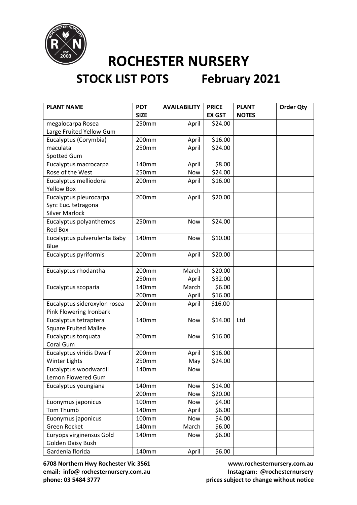

| <b>PLANT NAME</b>                                       | <b>POT</b>     | <b>AVAILABILITY</b> | <b>PRICE</b>      | <b>PLANT</b> | <b>Order Qty</b> |
|---------------------------------------------------------|----------------|---------------------|-------------------|--------------|------------------|
|                                                         | <b>SIZE</b>    |                     | <b>EX GST</b>     | <b>NOTES</b> |                  |
| megalocarpa Rosea                                       | 250mm          | April               | \$24.00           |              |                  |
| Large Fruited Yellow Gum                                |                |                     |                   |              |                  |
| Eucalyptus (Corymbia)                                   | 200mm          | April               | \$16.00           |              |                  |
| maculata                                                | 250mm          | April               | \$24.00           |              |                  |
| <b>Spotted Gum</b>                                      |                |                     |                   |              |                  |
| Eucalyptus macrocarpa                                   | 140mm          | April               | \$8.00            |              |                  |
| Rose of the West                                        | 250mm          | Now                 | \$24.00           |              |                  |
| Eucalyptus melliodora                                   | 200mm          | April               | \$16.00           |              |                  |
| <b>Yellow Box</b>                                       |                |                     |                   |              |                  |
| Eucalyptus pleurocarpa                                  | 200mm          | April               | \$20.00           |              |                  |
| Syn: Euc. tetragona                                     |                |                     |                   |              |                  |
| <b>Silver Marlock</b>                                   |                |                     |                   |              |                  |
| Eucalyptus polyanthemos                                 | 250mm          | Now                 | \$24.00           |              |                  |
| Red Box                                                 |                |                     |                   |              |                  |
| Eucalyptus pulverulenta Baby                            | 140mm          | Now                 | \$10.00           |              |                  |
| Blue                                                    |                |                     |                   |              |                  |
| Eucalyptus pyriformis                                   | 200mm          | April               | \$20.00           |              |                  |
|                                                         |                |                     |                   |              |                  |
| Eucalyptus rhodantha                                    | 200mm          | March               | \$20.00           |              |                  |
|                                                         | 250mm          | April               | \$32.00           |              |                  |
| Eucalyptus scoparia                                     | 140mm<br>200mm | March               | \$6.00<br>\$16.00 |              |                  |
|                                                         |                | April               | \$16.00           |              |                  |
| Eucalyptus sideroxylon rosea<br>Pink Flowering Ironbark | 200mm          | April               |                   |              |                  |
| Eucalyptus tetraptera                                   | 140mm          | Now                 | \$14.00           | Ltd          |                  |
| <b>Square Fruited Mallee</b>                            |                |                     |                   |              |                  |
| Eucalyptus torquata                                     | 200mm          | Now                 | \$16.00           |              |                  |
| Coral Gum                                               |                |                     |                   |              |                  |
| <b>Eucalyptus viridis Dwarf</b>                         | 200mm          | April               | \$16.00           |              |                  |
| <b>Winter Lights</b>                                    | 250mm          | May                 | \$24.00           |              |                  |
| Eucalyptus woodwardii                                   | 140mm          | Now                 |                   |              |                  |
| Lemon Flowered Gum                                      |                |                     |                   |              |                  |
| Eucalyptus youngiana                                    | 140mm          | Now                 | \$14.00           |              |                  |
|                                                         | 200mm          | Now                 | \$20.00           |              |                  |
| Euonymus japonicus                                      | 100mm          | Now                 | \$4.00            |              |                  |
| Tom Thumb                                               | 140mm          | April               | \$6.00            |              |                  |
| Euonymus japonicus                                      | 100mm          | Now                 | \$4.00            |              |                  |
| Green Rocket                                            | 140mm          | March               | \$6.00            |              |                  |
| Euryops virginensus Gold                                | 140mm          | Now                 | \$6.00            |              |                  |
| Golden Daisy Bush                                       |                |                     |                   |              |                  |
| Gardenia florida                                        | 140mm          | April               | \$6.00            |              |                  |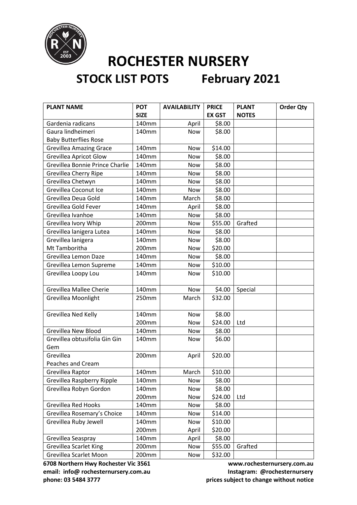

| <b>PLANT NAME</b>               | <b>POT</b>  | <b>AVAILABILITY</b> | <b>PRICE</b>  | <b>PLANT</b> | <b>Order Qty</b> |
|---------------------------------|-------------|---------------------|---------------|--------------|------------------|
|                                 | <b>SIZE</b> |                     | <b>EX GST</b> | <b>NOTES</b> |                  |
| Gardenia radicans               | 140mm       | April               | \$8.00        |              |                  |
| Gaura lindheimeri               | 140mm       | Now                 | \$8.00        |              |                  |
| <b>Baby Butterflies Rose</b>    |             |                     |               |              |                  |
| <b>Grevillea Amazing Grace</b>  | 140mm       | Now                 | \$14.00       |              |                  |
| <b>Grevillea Apricot Glow</b>   | 140mm       | Now                 | \$8.00        |              |                  |
| Grevillea Bonnie Prince Charlie | 140mm       | <b>Now</b>          | \$8.00        |              |                  |
| <b>Grevillea Cherry Ripe</b>    | 140mm       | Now                 | \$8.00        |              |                  |
| Grevillea Chetwyn               | 140mm       | Now                 | \$8.00        |              |                  |
| Grevillea Coconut Ice           | 140mm       | Now                 | \$8.00        |              |                  |
| Grevillea Deua Gold             | 140mm       | March               | \$8.00        |              |                  |
| Grevillea Gold Fever            | 140mm       | April               | \$8.00        |              |                  |
| Grevillea Ivanhoe               | 140mm       | Now                 | \$8.00        |              |                  |
| Grevillea Ivory Whip            | 200mm       | Now                 | \$55.00       | Grafted      |                  |
| Grevillea lanigera Lutea        | 140mm       | Now                 | \$8.00        |              |                  |
| Grevillea lanigera              | 140mm       | Now                 | \$8.00        |              |                  |
| Mt Tamboritha                   | 200mm       | Now                 | \$20.00       |              |                  |
| Grevillea Lemon Daze            | 140mm       | Now                 | \$8.00        |              |                  |
| Grevillea Lemon Supreme         | 140mm       | Now                 | \$10.00       |              |                  |
| Grevillea Loopy Lou             | 140mm       | Now                 | \$10.00       |              |                  |
| <b>Grevillea Mallee Cherie</b>  | 140mm       | Now                 | \$4.00        | Special      |                  |
| Grevillea Moonlight             | 250mm       | March               | \$32.00       |              |                  |
| Grevillea Ned Kelly             | 140mm       | <b>Now</b>          | \$8.00        |              |                  |
|                                 | 200mm       | Now                 | \$24.00       | Ltd          |                  |
| <b>Grevillea New Blood</b>      | 140mm       | Now                 | \$8.00        |              |                  |
| Grevillea obtusifolia Gin Gin   | 140mm       | Now                 | \$6.00        |              |                  |
| Gem                             |             |                     |               |              |                  |
| Grevillea                       | 200mm       | April               | \$20.00       |              |                  |
| Peaches and Cream               |             |                     |               |              |                  |
| Grevillea Raptor                | 140mm       | March               | \$10.00       |              |                  |
| Grevillea Raspberry Ripple      | 140mm       | Now                 | \$8.00        |              |                  |
| Grevillea Robyn Gordon          | 140mm       | Now                 | \$8.00        |              |                  |
|                                 | 200mm       | Now                 | \$24.00       | Ltd          |                  |
| Grevillea Red Hooks             | 140mm       | Now                 | \$8.00        |              |                  |
| Grevillea Rosemary's Choice     | 140mm       | Now                 | \$14.00       |              |                  |
| Grevillea Ruby Jewell           | 140mm       | Now                 | \$10.00       |              |                  |
|                                 | 200mm       | April               | \$20.00       |              |                  |
| Grevillea Seaspray              | 140mm       | April               | \$8.00        |              |                  |
| <b>Grevillea Scarlet King</b>   | 200mm       | Now                 | \$55.00       | Grafted      |                  |
| Grevillea Scarlet Moon          | 200mm       | Now                 | \$32.00       |              |                  |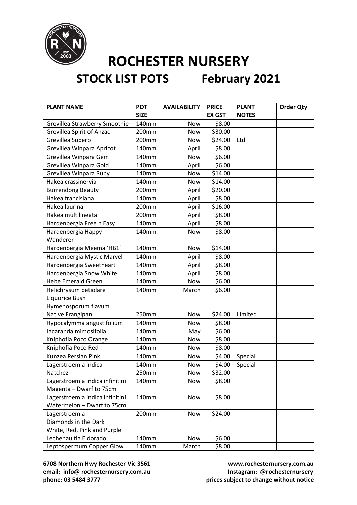

| <b>PLANT NAME</b>                            | <b>POT</b><br><b>SIZE</b> | <b>AVAILABILITY</b> | <b>PRICE</b><br><b>EX GST</b> | <b>PLANT</b><br><b>NOTES</b> | <b>Order Qty</b> |
|----------------------------------------------|---------------------------|---------------------|-------------------------------|------------------------------|------------------|
| Grevillea Strawberry Smoothie                | 140mm                     | Now                 | \$8.00                        |                              |                  |
| <b>Grevillea Spirit of Anzac</b>             | 200mm                     | Now                 | \$30.00                       |                              |                  |
| Grevillea Superb                             | 200mm                     | Now                 | \$24.00                       | Ltd                          |                  |
| Grevillea Winpara Apricot                    | 140mm                     | April               | \$8.00                        |                              |                  |
| Grevillea Winpara Gem                        | 140mm                     | Now                 | \$6.00                        |                              |                  |
| Grevillea Winpara Gold                       | 140mm                     | April               | \$6.00                        |                              |                  |
|                                              | 140mm                     |                     |                               |                              |                  |
| Grevillea Winpara Ruby<br>Hakea crassinervia |                           | Now                 | \$14.00                       |                              |                  |
|                                              | 140mm                     | Now                 | \$14.00                       |                              |                  |
| <b>Burrendong Beauty</b>                     | 200mm                     | April               | \$20.00                       |                              |                  |
| Hakea francisiana                            | 140mm                     | April               | \$8.00                        |                              |                  |
| Hakea laurina                                | 200mm                     | April               | \$16.00                       |                              |                  |
| Hakea multilineata                           | 200mm                     | April               | \$8.00                        |                              |                  |
| Hardenbergia Free n Easy                     | 140mm                     | April               | \$8.00                        |                              |                  |
| Hardenbergia Happy                           | 140mm                     | <b>Now</b>          | \$8.00                        |                              |                  |
| Wanderer                                     |                           |                     |                               |                              |                  |
| Hardenbergia Meema 'HB1'                     | 140mm                     | Now                 | \$14.00                       |                              |                  |
| Hardenbergia Mystic Marvel                   | 140mm                     | April               | \$8.00                        |                              |                  |
| Hardenbergia Sweetheart                      | 140mm                     | April               | \$8.00                        |                              |                  |
| Hardenbergia Snow White                      | 140mm                     | April               | \$8.00                        |                              |                  |
| <b>Hebe Emerald Green</b>                    | 140mm                     | Now                 | \$6.00                        |                              |                  |
| Helichrysum petiolare                        | 140mm                     | March               | \$6.00                        |                              |                  |
| Liquorice Bush                               |                           |                     |                               |                              |                  |
| Hymenosporum flavum                          |                           |                     |                               |                              |                  |
| Native Frangipani                            | 250mm                     | Now                 | \$24.00                       | Limited                      |                  |
| Hypocalymma angustifolium                    | 140mm                     | Now                 | \$8.00                        |                              |                  |
| Jacaranda mimosifolia                        | 140mm                     | May                 | \$6.00                        |                              |                  |
| Kniphofia Poco Orange                        | 140mm                     | Now                 | \$8.00                        |                              |                  |
| Kniphofia Poco Red                           | 140mm                     | Now                 | \$8.00                        |                              |                  |
| Kunzea Persian Pink                          | 140mm                     | Now                 | \$4.00                        | Special                      |                  |
| Lagerstroemia indica                         | 140mm                     | Now                 | \$4.00                        | Special                      |                  |
| Natchez                                      | 250mm                     | Now                 | \$32.00                       |                              |                  |
| Lagerstroemia indica infinitini              | 140mm                     | Now                 | \$8.00                        |                              |                  |
| Magenta - Dwarf to 75cm                      |                           |                     |                               |                              |                  |
| Lagerstroemia indica infinitini              | 140mm                     | Now                 | \$8.00                        |                              |                  |
| Watermelon - Dwarf to 75cm                   |                           |                     |                               |                              |                  |
| Lagerstroemia                                | 200mm                     | Now                 | \$24.00                       |                              |                  |
| Diamonds in the Dark                         |                           |                     |                               |                              |                  |
| White, Red, Pink and Purple                  |                           |                     |                               |                              |                  |
| Lechenaultia Eldorado                        | 140mm                     | Now                 | \$6.00                        |                              |                  |
| Leptospermum Copper Glow                     | 140mm                     | March               | \$8.00                        |                              |                  |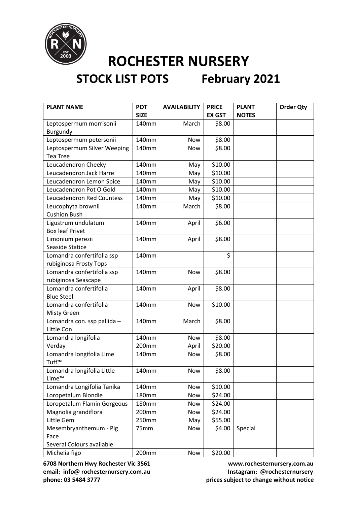

# **STOCK LIST POTS February 2021**

| <b>PLANT NAME</b>           | <b>POT</b>  | <b>AVAILABILITY</b> | <b>PRICE</b>  | <b>PLANT</b> | <b>Order Qty</b> |
|-----------------------------|-------------|---------------------|---------------|--------------|------------------|
|                             | <b>SIZE</b> |                     | <b>EX GST</b> | <b>NOTES</b> |                  |
| Leptospermum morrisonii     | 140mm       | March               | \$8.00        |              |                  |
| Burgundy                    |             |                     |               |              |                  |
| Leptospermum petersonii     | 140mm       | Now                 | \$8.00        |              |                  |
| Leptospermum Silver Weeping | 140mm       | Now                 | \$8.00        |              |                  |
| <b>Tea Tree</b>             |             |                     |               |              |                  |
| Leucadendron Cheeky         | 140mm       | May                 | \$10.00       |              |                  |
| Leucadendron Jack Harre     | 140mm       | May                 | \$10.00       |              |                  |
| Leucadendron Lemon Spice    | 140mm       | May                 | \$10.00       |              |                  |
| Leucadendron Pot O Gold     | 140mm       | May                 | \$10.00       |              |                  |
| Leucadendron Red Countess   | 140mm       | May                 | \$10.00       |              |                  |
| Leucophyta brownii          | 140mm       | March               | \$8.00        |              |                  |
| <b>Cushion Bush</b>         |             |                     |               |              |                  |
| Ligustrum undulatum         | 140mm       | April               | \$6.00        |              |                  |
| <b>Box leaf Privet</b>      |             |                     |               |              |                  |
| Limonium perezii            | 140mm       | April               | \$8.00        |              |                  |
| <b>Seaside Statice</b>      |             |                     |               |              |                  |
| Lomandra confertifolia ssp  | 140mm       |                     | \$            |              |                  |
| rubiginosa Frosty Tops      |             |                     |               |              |                  |
| Lomandra confertifolia ssp  | 140mm       | Now                 | \$8.00        |              |                  |
| rubiginosa Seascape         |             |                     |               |              |                  |
| Lomandra confertifolia      | 140mm       | April               | \$8.00        |              |                  |
| <b>Blue Steel</b>           |             |                     |               |              |                  |
| Lomandra confertifolia      | 140mm       | Now                 | \$10.00       |              |                  |
| <b>Misty Green</b>          |             |                     |               |              |                  |
| Lomandra con. ssp pallida - | 140mm       | March               | \$8.00        |              |                  |
| Little Con                  |             |                     |               |              |                  |
| Lomandra longifolia         | 140mm       | <b>Now</b>          | \$8.00        |              |                  |
| Verday                      | 200mm       | April               | \$20.00       |              |                  |
| Lomandra longifolia Lime    | 140mm       | Now                 | \$8.00        |              |                  |
| Tuff™                       |             |                     |               |              |                  |
| Lomandra longifolia Little  | 140mm       | Now                 | \$8.00        |              |                  |
| Lime™                       |             |                     |               |              |                  |
| Lomandra Longifolia Tanika  | 140mm       | Now                 | \$10.00       |              |                  |
| Loropetalum Blondie         | 180mm       | Now                 | \$24.00       |              |                  |
| Loropetalum Flamin Gorgeous | 180mm       | Now                 | \$24.00       |              |                  |
| Magnolia grandiflora        | 200mm       | <b>Now</b>          | \$24.00       |              |                  |
| Little Gem                  | 250mm       | May                 | \$55.00       |              |                  |
| Mesembryanthemum - Pig      | 75mm        | Now                 | \$4.00        | Special      |                  |
| Face                        |             |                     |               |              |                  |
| Several Colours available   |             |                     |               |              |                  |
| Michelia figo               | 200mm       | Now                 | \$20.00       |              |                  |

**6708 Northern Hwy Rochester Vic 3561 www.rochesternursery.com.au** email: info@ rochesternursery.com.au **Instagram: @rochesternursery** 

**phone: 03 5484 3777 prices subject to change without notice**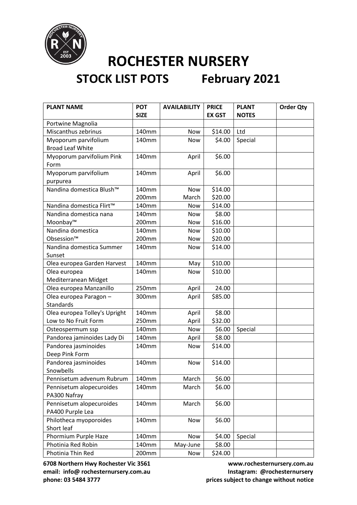

| <b>PLANT NAME</b>             | <b>POT</b>  | <b>AVAILABILITY</b> | <b>PRICE</b>  | <b>PLANT</b> | <b>Order Qty</b> |
|-------------------------------|-------------|---------------------|---------------|--------------|------------------|
|                               | <b>SIZE</b> |                     | <b>EX GST</b> | <b>NOTES</b> |                  |
| Portwine Magnolia             |             |                     |               |              |                  |
| Miscanthus zebrinus           | 140mm       | Now                 | \$14.00       | Ltd          |                  |
| Myoporum parvifolium          | 140mm       | Now                 | \$4.00        | Special      |                  |
| <b>Broad Leaf White</b>       |             |                     |               |              |                  |
| Myoporum parvifolium Pink     | 140mm       | April               | \$6.00        |              |                  |
| Form                          |             |                     |               |              |                  |
| Myoporum parvifolium          | 140mm       | April               | \$6.00        |              |                  |
| purpurea                      |             |                     |               |              |                  |
| Nandina domestica Blush™      | 140mm       | Now                 | \$14.00       |              |                  |
|                               | 200mm       | March               | \$20.00       |              |                  |
| Nandina domestica Flirt™      | 140mm       | Now                 | \$14.00       |              |                  |
| Nandina domestica nana        | 140mm       | Now                 | \$8.00        |              |                  |
| Moonbay™                      | 200mm       | Now                 | \$16.00       |              |                  |
| Nandina domestica             | 140mm       | Now                 | \$10.00       |              |                  |
| Obsession™                    | 200mm       | Now                 | \$20.00       |              |                  |
| Nandina domestica Summer      | 140mm       | Now                 | \$14.00       |              |                  |
| Sunset                        |             |                     |               |              |                  |
| Olea europea Garden Harvest   | 140mm       | May                 | \$10.00       |              |                  |
| Olea europea                  | 140mm       | Now                 | \$10.00       |              |                  |
| Mediterranean Midget          |             |                     |               |              |                  |
| Olea europea Manzanillo       | 250mm       | April               | 24.00         |              |                  |
| Olea europea Paragon -        | 300mm       | April               | \$85.00       |              |                  |
| <b>Standards</b>              |             |                     |               |              |                  |
| Olea europea Tolley's Upright | 140mm       | April               | \$8.00        |              |                  |
| Low to No Fruit Form          | 250mm       | April               | \$32.00       |              |                  |
| Osteospermum ssp              | 140mm       | Now                 | \$6.00        | Special      |                  |
| Pandorea jaminoides Lady Di   | 140mm       | April               | \$8.00        |              |                  |
| Pandorea jasminoides          | 140mm       | Now                 | \$14.00       |              |                  |
| Deep Pink Form                |             |                     |               |              |                  |
| Pandorea jasminoides          | 140mm       | <b>Now</b>          | \$14.00       |              |                  |
| Snowbells                     |             |                     |               |              |                  |
| Pennisetum advenum Rubrum     | 140mm       | March               | \$6.00        |              |                  |
| Pennisetum alopecuroides      | 140mm       | March               | \$6.00        |              |                  |
| PA300 Nafray                  |             |                     |               |              |                  |
| Pennisetum alopecuroides      | 140mm       | March               | \$6.00        |              |                  |
| PA400 Purple Lea              |             |                     |               |              |                  |
| Philotheca myoporoides        | 140mm       | Now                 | \$6.00        |              |                  |
| Short leaf                    |             |                     |               |              |                  |
| Phormium Purple Haze          | 140mm       | Now                 | \$4.00        | Special      |                  |
| Photinia Red Robin            | 140mm       | May-June            | \$8.00        |              |                  |
| Photinia Thin Red             | 200mm       | Now                 | \$24.00       |              |                  |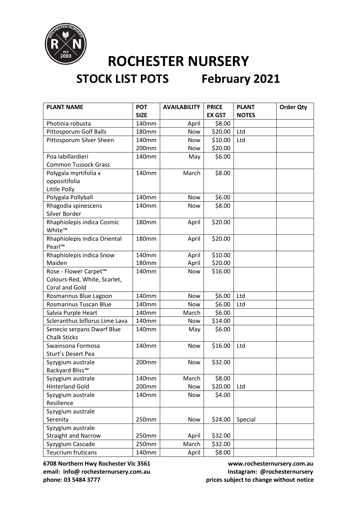

# **STOCK LIST POTS February 2021**

| <b>PLANT NAME</b>              | <b>POT</b>        | <b>AVAILABILITY</b> | <b>PRICE</b>  | <b>PLANT</b> | <b>Order Qty</b> |
|--------------------------------|-------------------|---------------------|---------------|--------------|------------------|
|                                | <b>SIZE</b>       |                     | <b>EX GST</b> | <b>NOTES</b> |                  |
| Photinia robusta               | 140mm             | April               | \$8.00        |              |                  |
| Pittosporum Golf Balls         | 180mm             | Now                 | \$20.00       | Ltd          |                  |
| Pittosporum Silver Sheen       | 140mm             | Now                 | \$10.00       | Ltd          |                  |
|                                | 200mm             | Now                 | \$20.00       |              |                  |
| Poa labillardieri              | 140mm             | May                 | \$6.00        |              |                  |
| <b>Common Tussock Grass</b>    |                   |                     |               |              |                  |
| Polygala myrtifolia x          | 140mm             | March               | \$8.00        |              |                  |
| oppositifolia                  |                   |                     |               |              |                  |
| Little Polly                   |                   |                     |               |              |                  |
| Polygala Pollyball             | 140mm             | Now                 | \$6.00        |              |                  |
| Rhagodia spinescens            | 140mm             | <b>Now</b>          | \$8.00        |              |                  |
| Silver Border                  |                   |                     |               |              |                  |
| Rhaphiolepis indica Cosmic     | 180mm             | April               | \$20.00       |              |                  |
| White™                         |                   |                     |               |              |                  |
| Rhaphiolepis indica Oriental   | 180mm             | April               | \$20.00       |              |                  |
| Pearl™                         |                   |                     |               |              |                  |
| Rhaphiolepis indica Snow       | 140mm             | April               | \$10.00       |              |                  |
| Maiden                         | 180mm             | April               | \$20.00       |              |                  |
| Rose - Flower Carpet™          | 140 <sub>mm</sub> | Now                 | \$16.00       |              |                  |
| Colours-Red, White, Scarlet,   |                   |                     |               |              |                  |
| Coral and Gold                 |                   |                     |               |              |                  |
| Rosmarinus Blue Lagoon         | 140mm             | Now                 | \$6.00        | Ltd          |                  |
| <b>Rosmarinus Tuscan Blue</b>  | 140mm             | Now                 | \$6.00        | Ltd          |                  |
| Salvia Purple Heart            | 140mm             | March               | \$6.00        |              |                  |
| Scleranthus biflorus Lime Lava | 140mm             | <b>Now</b>          | \$14.00       |              |                  |
| Senecio serpans Dwarf Blue     | 140mm             | May                 | \$6.00        |              |                  |
| <b>Chalk Sticks</b>            |                   |                     |               |              |                  |
| Swainsona Formosa              | 140mm             | Now                 | \$16.00       | Ltd          |                  |
| <b>Sturt's Desert Pea</b>      |                   |                     |               |              |                  |
| Syzygium australe              | 200mm             | Now                 | \$32.00       |              |                  |
| Backyard Bliss™                |                   |                     |               |              |                  |
| Syzygium australe              | 140mm             | March               | \$8.00        |              |                  |
| <b>Hinterland Gold</b>         | 200mm             | Now                 | \$20.00       | Ltd          |                  |
| Syzygium australe              | 140mm             | Now                 | \$4.00        |              |                  |
| Resilience                     |                   |                     |               |              |                  |
| Syzygium australe              |                   |                     |               |              |                  |
| Serenity                       | 250mm             | Now                 | \$24.00       | Special      |                  |
| Syzygium australe              |                   |                     |               |              |                  |
| <b>Straight and Narrow</b>     | 250mm             | April               | \$32.00       |              |                  |
| Syzygium Cascade               | 250mm             | March               | \$32.00       |              |                  |
| <b>Teucrium fruticans</b>      | 140mm             | April               | \$8.00        |              |                  |

**6708 Northern Hwy Rochester Vic 3561 www.rochesternursery.com.au** email: info@ rochesternursery.com.au **Instagram: @rochesternursery phone: 03 5484 3777 prices subject to change without notice**